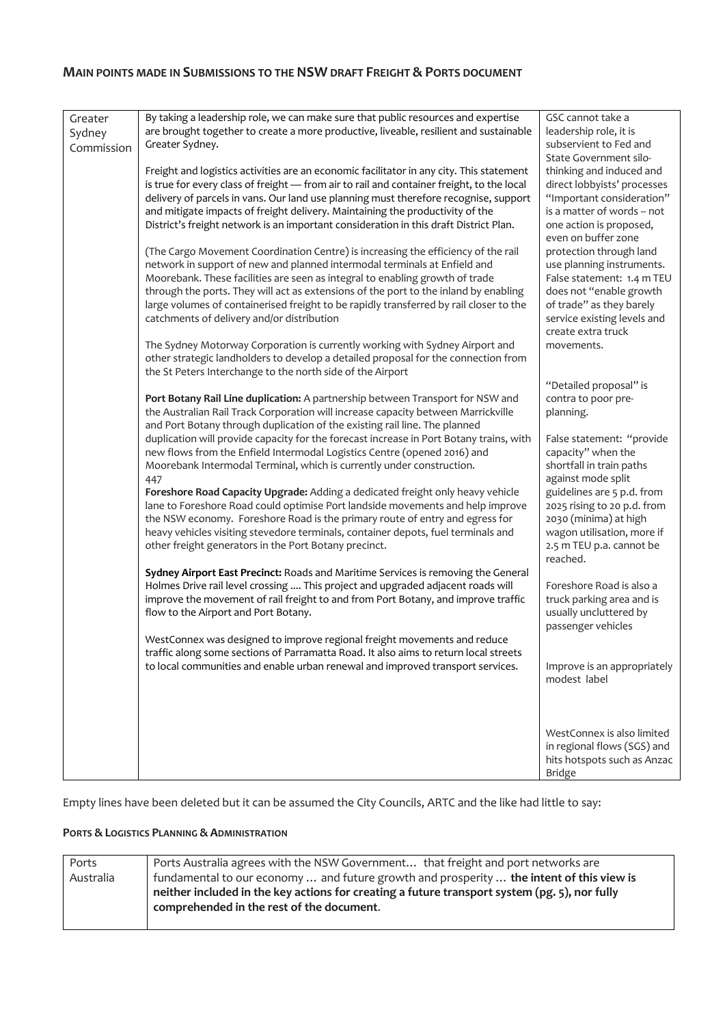# **MAIN POINTS MADE IN SUBMISSIONS TO THE NSW DRAFT FREIGHT & PORTS DOCUMENT**

| Greater<br>Sydney<br>Commission | By taking a leadership role, we can make sure that public resources and expertise<br>are brought together to create a more productive, liveable, resilient and sustainable<br>Greater Sydney.<br>Freight and logistics activities are an economic facilitator in any city. This statement<br>is true for every class of freight - from air to rail and container freight, to the local<br>delivery of parcels in vans. Our land use planning must therefore recognise, support                                   | GSC cannot take a<br>leadership role, it is<br>subservient to Fed and<br>State Government silo-<br>thinking and induced and<br>direct lobbyists' processes<br>"Important consideration"<br>is a matter of words - not |
|---------------------------------|------------------------------------------------------------------------------------------------------------------------------------------------------------------------------------------------------------------------------------------------------------------------------------------------------------------------------------------------------------------------------------------------------------------------------------------------------------------------------------------------------------------|-----------------------------------------------------------------------------------------------------------------------------------------------------------------------------------------------------------------------|
|                                 | and mitigate impacts of freight delivery. Maintaining the productivity of the<br>District's freight network is an important consideration in this draft District Plan.<br>(The Cargo Movement Coordination Centre) is increasing the efficiency of the rail<br>network in support of new and planned intermodal terminals at Enfield and<br>Moorebank. These facilities are seen as integral to enabling growth of trade<br>through the ports. They will act as extensions of the port to the inland by enabling | one action is proposed,<br>even on buffer zone<br>protection through land<br>use planning instruments.<br>False statement: 1.4 m TEU<br>does not "enable growth                                                       |
|                                 | large volumes of containerised freight to be rapidly transferred by rail closer to the<br>catchments of delivery and/or distribution<br>The Sydney Motorway Corporation is currently working with Sydney Airport and<br>other strategic landholders to develop a detailed proposal for the connection from<br>the St Peters Interchange to the north side of the Airport                                                                                                                                         | of trade" as they barely<br>service existing levels and<br>create extra truck<br>movements.                                                                                                                           |
|                                 | Port Botany Rail Line duplication: A partnership between Transport for NSW and<br>the Australian Rail Track Corporation will increase capacity between Marrickville<br>and Port Botany through duplication of the existing rail line. The planned                                                                                                                                                                                                                                                                | "Detailed proposal" is<br>contra to poor pre-<br>planning.                                                                                                                                                            |
|                                 | duplication will provide capacity for the forecast increase in Port Botany trains, with<br>new flows from the Enfield Intermodal Logistics Centre (opened 2016) and<br>Moorebank Intermodal Terminal, which is currently under construction.<br>447<br>Foreshore Road Capacity Upgrade: Adding a dedicated freight only heavy vehicle                                                                                                                                                                            | False statement: "provide<br>capacity" when the<br>shortfall in train paths<br>against mode split<br>guidelines are 5 p.d. from                                                                                       |
|                                 | lane to Foreshore Road could optimise Port landside movements and help improve<br>the NSW economy. Foreshore Road is the primary route of entry and egress for<br>heavy vehicles visiting stevedore terminals, container depots, fuel terminals and<br>other freight generators in the Port Botany precinct.                                                                                                                                                                                                     | 2025 rising to 20 p.d. from<br>2030 (minima) at high<br>wagon utilisation, more if<br>2.5 m TEU p.a. cannot be<br>reached.                                                                                            |
|                                 | Sydney Airport East Precinct: Roads and Maritime Services is removing the General<br>Holmes Drive rail level crossing  This project and upgraded adjacent roads will<br>improve the movement of rail freight to and from Port Botany, and improve traffic<br>flow to the Airport and Port Botany.                                                                                                                                                                                                                | Foreshore Road is also a<br>truck parking area and is<br>usually uncluttered by<br>passenger vehicles                                                                                                                 |
|                                 | WestConnex was designed to improve regional freight movements and reduce<br>traffic along some sections of Parramatta Road. It also aims to return local streets<br>to local communities and enable urban renewal and improved transport services.                                                                                                                                                                                                                                                               | Improve is an appropriately<br>modest label                                                                                                                                                                           |
|                                 |                                                                                                                                                                                                                                                                                                                                                                                                                                                                                                                  | WestConnex is also limited<br>in regional flows (SGS) and<br>hits hotspots such as Anzac<br><b>Bridge</b>                                                                                                             |

Empty lines have been deleted but it can be assumed the City Councils, ARTC and the like had little to say:

## **PORTS & LOGISTICS PLANNING & ADMINISTRATION**

| Ports     | Ports Australia agrees with the NSW Government that freight and port networks are             |
|-----------|-----------------------------------------------------------------------------------------------|
| Australia | fundamental to our economy  and future growth and prosperity  the intent of this view is      |
|           | neither included in the key actions for creating a future transport system (pg. 5), nor fully |
|           | comprehended in the rest of the document.                                                     |
|           |                                                                                               |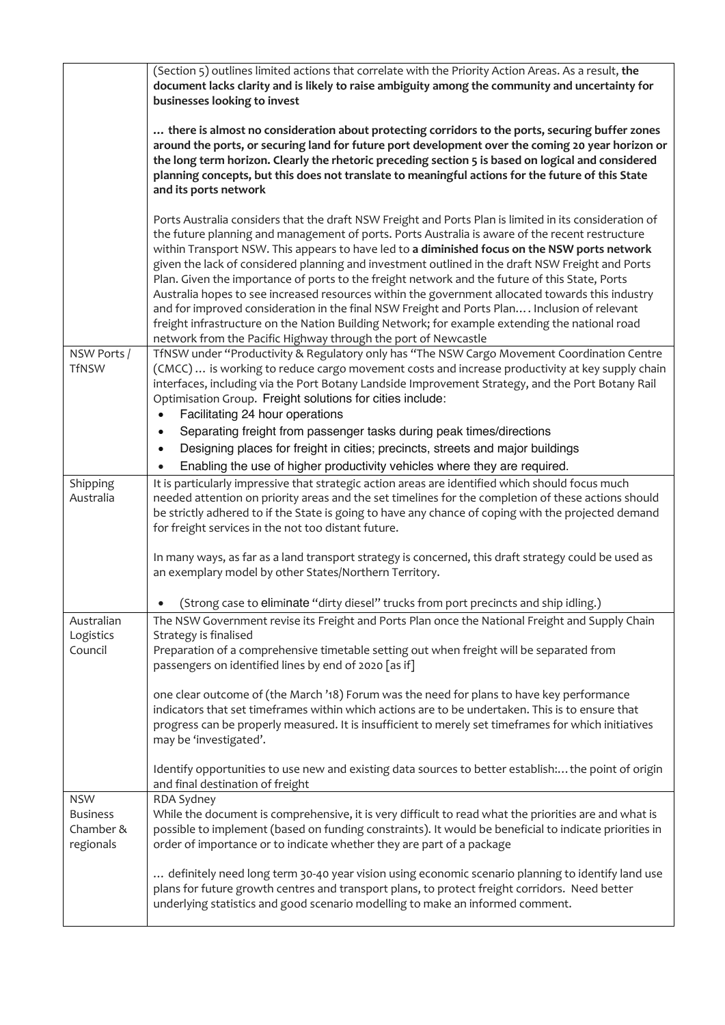|                                                         | (Section 5) outlines limited actions that correlate with the Priority Action Areas. As a result, the<br>document lacks clarity and is likely to raise ambiguity among the community and uncertainty for<br>businesses looking to invest                                                                                                                                                                                                                                                                                                                                                                                                                                                                                                                                                                                                                                                  |
|---------------------------------------------------------|------------------------------------------------------------------------------------------------------------------------------------------------------------------------------------------------------------------------------------------------------------------------------------------------------------------------------------------------------------------------------------------------------------------------------------------------------------------------------------------------------------------------------------------------------------------------------------------------------------------------------------------------------------------------------------------------------------------------------------------------------------------------------------------------------------------------------------------------------------------------------------------|
|                                                         | there is almost no consideration about protecting corridors to the ports, securing buffer zones<br>around the ports, or securing land for future port development over the coming 20 year horizon or<br>the long term horizon. Clearly the rhetoric preceding section 5 is based on logical and considered<br>planning concepts, but this does not translate to meaningful actions for the future of this State<br>and its ports network                                                                                                                                                                                                                                                                                                                                                                                                                                                 |
|                                                         | Ports Australia considers that the draft NSW Freight and Ports Plan is limited in its consideration of<br>the future planning and management of ports. Ports Australia is aware of the recent restructure<br>within Transport NSW. This appears to have led to a diminished focus on the NSW ports network<br>given the lack of considered planning and investment outlined in the draft NSW Freight and Ports<br>Plan. Given the importance of ports to the freight network and the future of this State, Ports<br>Australia hopes to see increased resources within the government allocated towards this industry<br>and for improved consideration in the final NSW Freight and Ports Plan Inclusion of relevant<br>freight infrastructure on the Nation Building Network; for example extending the national road<br>network from the Pacific Highway through the port of Newcastle |
| NSW Ports /<br><b>TfNSW</b>                             | TfNSW under "Productivity & Regulatory only has "The NSW Cargo Movement Coordination Centre<br>(CMCC)  is working to reduce cargo movement costs and increase productivity at key supply chain<br>interfaces, including via the Port Botany Landside Improvement Strategy, and the Port Botany Rail<br>Optimisation Group. Freight solutions for cities include:<br>Facilitating 24 hour operations<br>$\bullet$                                                                                                                                                                                                                                                                                                                                                                                                                                                                         |
|                                                         | Separating freight from passenger tasks during peak times/directions<br>$\bullet$<br>Designing places for freight in cities; precincts, streets and major buildings<br>$\bullet$<br>Enabling the use of higher productivity vehicles where they are required.                                                                                                                                                                                                                                                                                                                                                                                                                                                                                                                                                                                                                            |
| Shipping<br>Australia                                   | It is particularly impressive that strategic action areas are identified which should focus much<br>needed attention on priority areas and the set timelines for the completion of these actions should<br>be strictly adhered to if the State is going to have any chance of coping with the projected demand<br>for freight services in the not too distant future.                                                                                                                                                                                                                                                                                                                                                                                                                                                                                                                    |
|                                                         | In many ways, as far as a land transport strategy is concerned, this draft strategy could be used as<br>an exemplary model by other States/Northern Territory.                                                                                                                                                                                                                                                                                                                                                                                                                                                                                                                                                                                                                                                                                                                           |
| Australian                                              | (Strong case to eliminate "dirty diesel" trucks from port precincts and ship idling.)<br>The NSW Government revise its Freight and Ports Plan once the National Freight and Supply Chain                                                                                                                                                                                                                                                                                                                                                                                                                                                                                                                                                                                                                                                                                                 |
| Logistics<br>Council                                    | Strategy is finalised<br>Preparation of a comprehensive timetable setting out when freight will be separated from<br>passengers on identified lines by end of 2020 [as if]                                                                                                                                                                                                                                                                                                                                                                                                                                                                                                                                                                                                                                                                                                               |
|                                                         | one clear outcome of (the March '18) Forum was the need for plans to have key performance<br>indicators that set timeframes within which actions are to be undertaken. This is to ensure that<br>progress can be properly measured. It is insufficient to merely set timeframes for which initiatives<br>may be 'investigated'.                                                                                                                                                                                                                                                                                                                                                                                                                                                                                                                                                          |
|                                                         | Identify opportunities to use new and existing data sources to better establish: the point of origin<br>and final destination of freight                                                                                                                                                                                                                                                                                                                                                                                                                                                                                                                                                                                                                                                                                                                                                 |
| <b>NSW</b><br><b>Business</b><br>Chamber &<br>regionals | RDA Sydney<br>While the document is comprehensive, it is very difficult to read what the priorities are and what is<br>possible to implement (based on funding constraints). It would be beneficial to indicate priorities in<br>order of importance or to indicate whether they are part of a package                                                                                                                                                                                                                                                                                                                                                                                                                                                                                                                                                                                   |
|                                                         | definitely need long term 30-40 year vision using economic scenario planning to identify land use<br>plans for future growth centres and transport plans, to protect freight corridors. Need better<br>underlying statistics and good scenario modelling to make an informed comment.                                                                                                                                                                                                                                                                                                                                                                                                                                                                                                                                                                                                    |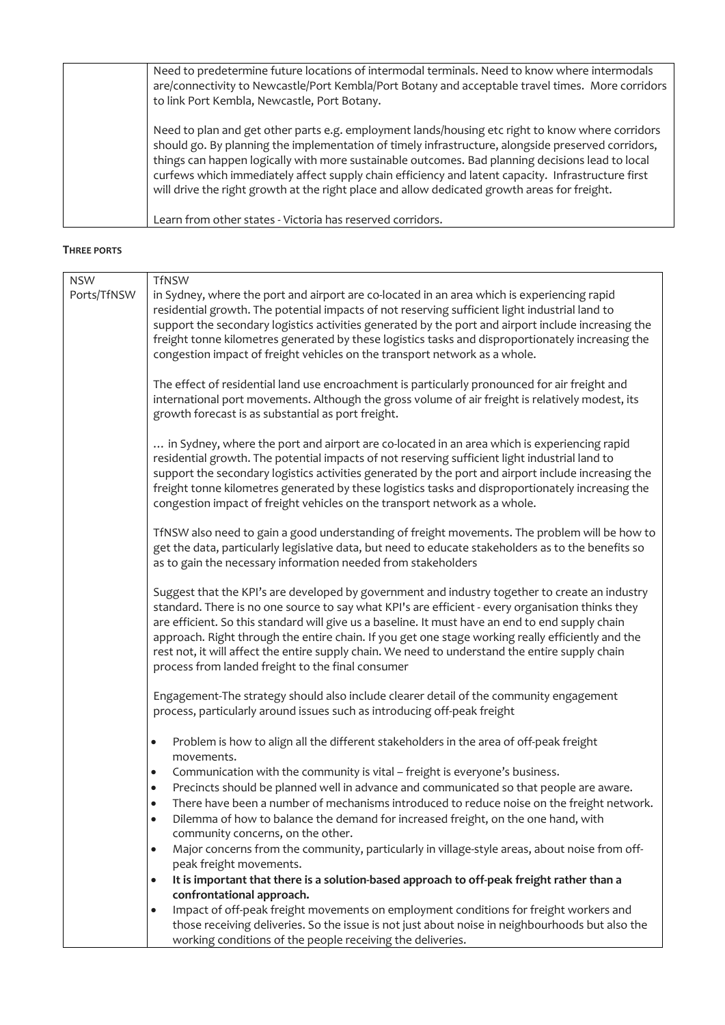| Need to predetermine future locations of intermodal terminals. Need to know where intermodals<br>are/connectivity to Newcastle/Port Kembla/Port Botany and acceptable travel times. More corridors<br>to link Port Kembla, Newcastle, Port Botany.                                                                                                                                                                                                                                                               |
|------------------------------------------------------------------------------------------------------------------------------------------------------------------------------------------------------------------------------------------------------------------------------------------------------------------------------------------------------------------------------------------------------------------------------------------------------------------------------------------------------------------|
| Need to plan and get other parts e.g. employment lands/housing etc right to know where corridors<br>should go. By planning the implementation of timely infrastructure, alongside preserved corridors,<br>things can happen logically with more sustainable outcomes. Bad planning decisions lead to local<br>curfews which immediately affect supply chain efficiency and latent capacity. Infrastructure first<br>will drive the right growth at the right place and allow dedicated growth areas for freight. |
| Learn from other states - Victoria has reserved corridors.                                                                                                                                                                                                                                                                                                                                                                                                                                                       |

#### **THREE PORTS**

| <b>NSW</b>  | <b>TfNSW</b>                                                                                                                                                                                                                                                                                                                                                                                                                                                                                                                                                         |
|-------------|----------------------------------------------------------------------------------------------------------------------------------------------------------------------------------------------------------------------------------------------------------------------------------------------------------------------------------------------------------------------------------------------------------------------------------------------------------------------------------------------------------------------------------------------------------------------|
| Ports/TfNSW | in Sydney, where the port and airport are co-located in an area which is experiencing rapid<br>residential growth. The potential impacts of not reserving sufficient light industrial land to<br>support the secondary logistics activities generated by the port and airport include increasing the                                                                                                                                                                                                                                                                 |
|             | freight tonne kilometres generated by these logistics tasks and disproportionately increasing the<br>congestion impact of freight vehicles on the transport network as a whole.                                                                                                                                                                                                                                                                                                                                                                                      |
|             | The effect of residential land use encroachment is particularly pronounced for air freight and<br>international port movements. Although the gross volume of air freight is relatively modest, its<br>growth forecast is as substantial as port freight.                                                                                                                                                                                                                                                                                                             |
|             | in Sydney, where the port and airport are co-located in an area which is experiencing rapid<br>residential growth. The potential impacts of not reserving sufficient light industrial land to<br>support the secondary logistics activities generated by the port and airport include increasing the<br>freight tonne kilometres generated by these logistics tasks and disproportionately increasing the<br>congestion impact of freight vehicles on the transport network as a whole.                                                                              |
|             | TfNSW also need to gain a good understanding of freight movements. The problem will be how to<br>get the data, particularly legislative data, but need to educate stakeholders as to the benefits so<br>as to gain the necessary information needed from stakeholders                                                                                                                                                                                                                                                                                                |
|             | Suggest that the KPI's are developed by government and industry together to create an industry<br>standard. There is no one source to say what KPI's are efficient - every organisation thinks they<br>are efficient. So this standard will give us a baseline. It must have an end to end supply chain<br>approach. Right through the entire chain. If you get one stage working really efficiently and the<br>rest not, it will affect the entire supply chain. We need to understand the entire supply chain<br>process from landed freight to the final consumer |
|             | Engagement-The strategy should also include clearer detail of the community engagement<br>process, particularly around issues such as introducing off-peak freight                                                                                                                                                                                                                                                                                                                                                                                                   |
|             | Problem is how to align all the different stakeholders in the area of off-peak freight<br>$\bullet$<br>movements.                                                                                                                                                                                                                                                                                                                                                                                                                                                    |
|             | Communication with the community is vital - freight is everyone's business.<br>$\bullet$                                                                                                                                                                                                                                                                                                                                                                                                                                                                             |
|             | Precincts should be planned well in advance and communicated so that people are aware.<br>$\bullet$                                                                                                                                                                                                                                                                                                                                                                                                                                                                  |
|             | There have been a number of mechanisms introduced to reduce noise on the freight network.<br>$\bullet$                                                                                                                                                                                                                                                                                                                                                                                                                                                               |
|             | Dilemma of how to balance the demand for increased freight, on the one hand, with<br>$\bullet$                                                                                                                                                                                                                                                                                                                                                                                                                                                                       |
|             | community concerns, on the other.                                                                                                                                                                                                                                                                                                                                                                                                                                                                                                                                    |
|             | Major concerns from the community, particularly in village-style areas, about noise from off-<br>$\bullet$<br>peak freight movements.                                                                                                                                                                                                                                                                                                                                                                                                                                |
|             | It is important that there is a solution-based approach to off-peak freight rather than a                                                                                                                                                                                                                                                                                                                                                                                                                                                                            |
|             | $\bullet$<br>confrontational approach.                                                                                                                                                                                                                                                                                                                                                                                                                                                                                                                               |
|             | Impact of off-peak freight movements on employment conditions for freight workers and<br>$\bullet$                                                                                                                                                                                                                                                                                                                                                                                                                                                                   |
|             | those receiving deliveries. So the issue is not just about noise in neighbourhoods but also the                                                                                                                                                                                                                                                                                                                                                                                                                                                                      |
|             | working conditions of the people receiving the deliveries.                                                                                                                                                                                                                                                                                                                                                                                                                                                                                                           |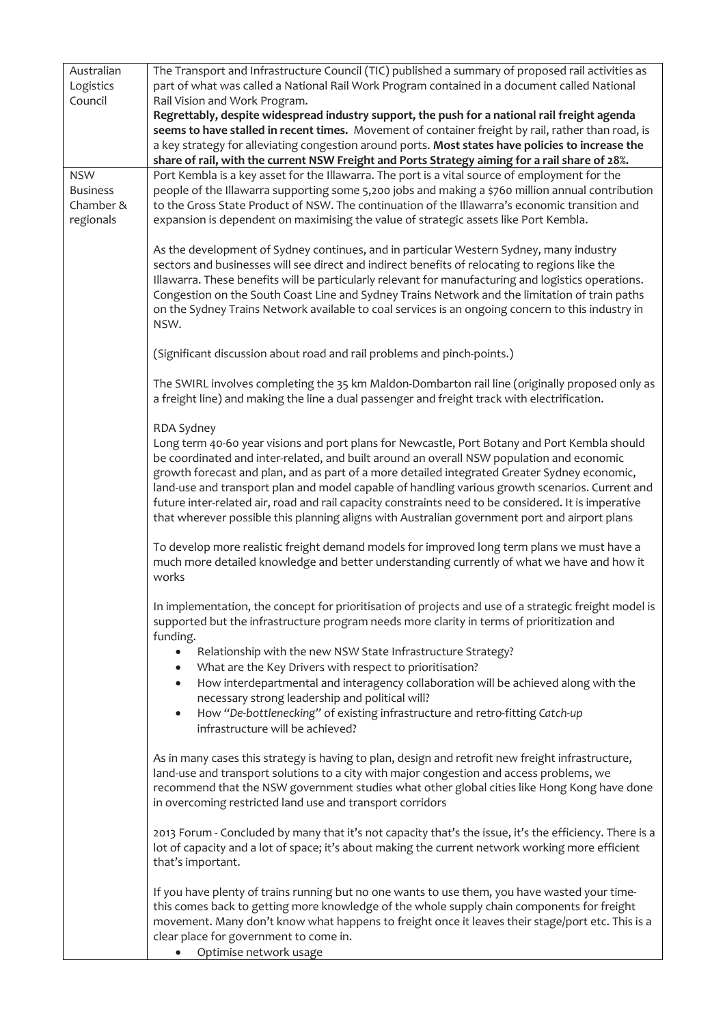| Australian<br>Logistics<br>Council                      | The Transport and Infrastructure Council (TIC) published a summary of proposed rail activities as<br>part of what was called a National Rail Work Program contained in a document called National<br>Rail Vision and Work Program.<br>Regrettably, despite widespread industry support, the push for a national rail freight agenda                                                                                                                                                                                                                                                                                  |
|---------------------------------------------------------|----------------------------------------------------------------------------------------------------------------------------------------------------------------------------------------------------------------------------------------------------------------------------------------------------------------------------------------------------------------------------------------------------------------------------------------------------------------------------------------------------------------------------------------------------------------------------------------------------------------------|
|                                                         | seems to have stalled in recent times. Movement of container freight by rail, rather than road, is<br>a key strategy for alleviating congestion around ports. Most states have policies to increase the<br>share of rail, with the current NSW Freight and Ports Strategy aiming for a rail share of 28%.                                                                                                                                                                                                                                                                                                            |
| <b>NSW</b><br><b>Business</b><br>Chamber &<br>regionals | Port Kembla is a key asset for the Illawarra. The port is a vital source of employment for the<br>people of the Illawarra supporting some 5,200 jobs and making a \$760 million annual contribution<br>to the Gross State Product of NSW. The continuation of the Illawarra's economic transition and<br>expansion is dependent on maximising the value of strategic assets like Port Kembla.                                                                                                                                                                                                                        |
|                                                         | As the development of Sydney continues, and in particular Western Sydney, many industry<br>sectors and businesses will see direct and indirect benefits of relocating to regions like the<br>Illawarra. These benefits will be particularly relevant for manufacturing and logistics operations.<br>Congestion on the South Coast Line and Sydney Trains Network and the limitation of train paths<br>on the Sydney Trains Network available to coal services is an ongoing concern to this industry in<br>NSW.                                                                                                      |
|                                                         | (Significant discussion about road and rail problems and pinch-points.)                                                                                                                                                                                                                                                                                                                                                                                                                                                                                                                                              |
|                                                         | The SWIRL involves completing the 35 km Maldon-Dombarton rail line (originally proposed only as<br>a freight line) and making the line a dual passenger and freight track with electrification.                                                                                                                                                                                                                                                                                                                                                                                                                      |
|                                                         | RDA Sydney<br>Long term 40-60 year visions and port plans for Newcastle, Port Botany and Port Kembla should<br>be coordinated and inter-related, and built around an overall NSW population and economic<br>growth forecast and plan, and as part of a more detailed integrated Greater Sydney economic,<br>land-use and transport plan and model capable of handling various growth scenarios. Current and<br>future inter-related air, road and rail capacity constraints need to be considered. It is imperative<br>that wherever possible this planning aligns with Australian government port and airport plans |
|                                                         | To develop more realistic freight demand models for improved long term plans we must have a<br>much more detailed knowledge and better understanding currently of what we have and how it<br>works                                                                                                                                                                                                                                                                                                                                                                                                                   |
|                                                         | In implementation, the concept for prioritisation of projects and use of a strategic freight model is<br>supported but the infrastructure program needs more clarity in terms of prioritization and<br>funding.                                                                                                                                                                                                                                                                                                                                                                                                      |
|                                                         | Relationship with the new NSW State Infrastructure Strategy?<br>What are the Key Drivers with respect to prioritisation?<br>$\bullet$                                                                                                                                                                                                                                                                                                                                                                                                                                                                                |
|                                                         | How interdepartmental and interagency collaboration will be achieved along with the<br>$\bullet$<br>necessary strong leadership and political will?                                                                                                                                                                                                                                                                                                                                                                                                                                                                  |
|                                                         | How "De-bottlenecking" of existing infrastructure and retro-fitting Catch-up<br>$\bullet$<br>infrastructure will be achieved?                                                                                                                                                                                                                                                                                                                                                                                                                                                                                        |
|                                                         | As in many cases this strategy is having to plan, design and retrofit new freight infrastructure,<br>land-use and transport solutions to a city with major congestion and access problems, we<br>recommend that the NSW government studies what other global cities like Hong Kong have done<br>in overcoming restricted land use and transport corridors                                                                                                                                                                                                                                                            |
|                                                         | 2013 Forum - Concluded by many that it's not capacity that's the issue, it's the efficiency. There is a<br>lot of capacity and a lot of space; it's about making the current network working more efficient<br>that's important.                                                                                                                                                                                                                                                                                                                                                                                     |
|                                                         | If you have plenty of trains running but no one wants to use them, you have wasted your time-<br>this comes back to getting more knowledge of the whole supply chain components for freight<br>movement. Many don't know what happens to freight once it leaves their stage/port etc. This is a<br>clear place for government to come in.<br>Optimise network usage                                                                                                                                                                                                                                                  |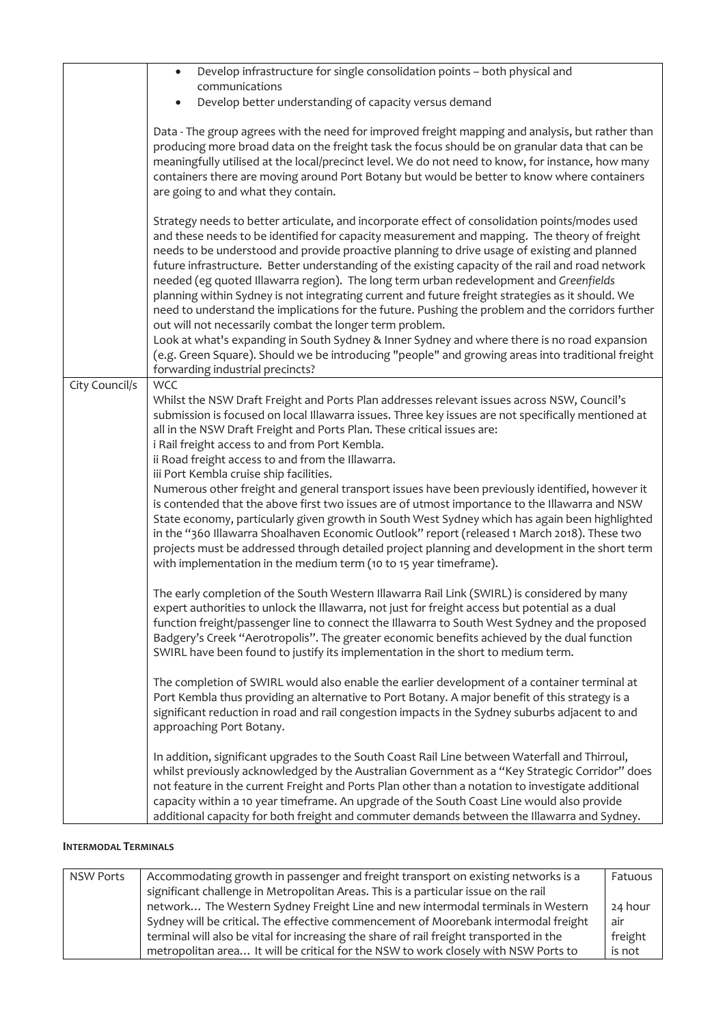|                | Develop infrastructure for single consolidation points - both physical and<br>$\bullet$<br>communications                                                                                                                                                                                                                                                                                                                                                                                                                                                                                                                                                                                                                                                                                                                                                                                                                                                                                                   |
|----------------|-------------------------------------------------------------------------------------------------------------------------------------------------------------------------------------------------------------------------------------------------------------------------------------------------------------------------------------------------------------------------------------------------------------------------------------------------------------------------------------------------------------------------------------------------------------------------------------------------------------------------------------------------------------------------------------------------------------------------------------------------------------------------------------------------------------------------------------------------------------------------------------------------------------------------------------------------------------------------------------------------------------|
|                | Develop better understanding of capacity versus demand                                                                                                                                                                                                                                                                                                                                                                                                                                                                                                                                                                                                                                                                                                                                                                                                                                                                                                                                                      |
|                | Data - The group agrees with the need for improved freight mapping and analysis, but rather than<br>producing more broad data on the freight task the focus should be on granular data that can be<br>meaningfully utilised at the local/precinct level. We do not need to know, for instance, how many<br>containers there are moving around Port Botany but would be better to know where containers<br>are going to and what they contain.                                                                                                                                                                                                                                                                                                                                                                                                                                                                                                                                                               |
|                | Strategy needs to better articulate, and incorporate effect of consolidation points/modes used<br>and these needs to be identified for capacity measurement and mapping. The theory of freight<br>needs to be understood and provide proactive planning to drive usage of existing and planned<br>future infrastructure. Better understanding of the existing capacity of the rail and road network<br>needed (eg quoted Illawarra region). The long term urban redevelopment and Greenfields<br>planning within Sydney is not integrating current and future freight strategies as it should. We<br>need to understand the implications for the future. Pushing the problem and the corridors further<br>out will not necessarily combat the longer term problem.<br>Look at what's expanding in South Sydney & Inner Sydney and where there is no road expansion<br>(e.g. Green Square). Should we be introducing "people" and growing areas into traditional freight<br>forwarding industrial precincts? |
| City Council/s | <b>WCC</b>                                                                                                                                                                                                                                                                                                                                                                                                                                                                                                                                                                                                                                                                                                                                                                                                                                                                                                                                                                                                  |
|                | Whilst the NSW Draft Freight and Ports Plan addresses relevant issues across NSW, Council's<br>submission is focused on local Illawarra issues. Three key issues are not specifically mentioned at<br>all in the NSW Draft Freight and Ports Plan. These critical issues are:<br>i Rail freight access to and from Port Kembla.<br>ii Road freight access to and from the Illawarra.<br>iii Port Kembla cruise ship facilities.                                                                                                                                                                                                                                                                                                                                                                                                                                                                                                                                                                             |
|                | Numerous other freight and general transport issues have been previously identified, however it<br>is contended that the above first two issues are of utmost importance to the Illawarra and NSW<br>State economy, particularly given growth in South West Sydney which has again been highlighted<br>in the "360 Illawarra Shoalhaven Economic Outlook" report (released 1 March 2018). These two<br>projects must be addressed through detailed project planning and development in the short term<br>with implementation in the medium term (10 to 15 year timeframe).                                                                                                                                                                                                                                                                                                                                                                                                                                  |
|                | The early completion of the South Western Illawarra Rail Link (SWIRL) is considered by many<br>expert authorities to unlock the Illawarra, not just for freight access but potential as a dual<br>function freight/passenger line to connect the Illawarra to South West Sydney and the proposed<br>Badgery's Creek "Aerotropolis". The greater economic benefits achieved by the dual function<br>SWIRL have been found to justify its implementation in the short to medium term.                                                                                                                                                                                                                                                                                                                                                                                                                                                                                                                         |
|                | The completion of SWIRL would also enable the earlier development of a container terminal at<br>Port Kembla thus providing an alternative to Port Botany. A major benefit of this strategy is a<br>significant reduction in road and rail congestion impacts in the Sydney suburbs adjacent to and<br>approaching Port Botany.                                                                                                                                                                                                                                                                                                                                                                                                                                                                                                                                                                                                                                                                              |
|                | In addition, significant upgrades to the South Coast Rail Line between Waterfall and Thirroul,<br>whilst previously acknowledged by the Australian Government as a "Key Strategic Corridor" does<br>not feature in the current Freight and Ports Plan other than a notation to investigate additional<br>capacity within a 10 year timeframe. An upgrade of the South Coast Line would also provide<br>additional capacity for both freight and commuter demands between the Illawarra and Sydney.                                                                                                                                                                                                                                                                                                                                                                                                                                                                                                          |

## **INTERMODAL TERMINALS**

| <b>NSW Ports</b> | Accommodating growth in passenger and freight transport on existing networks is a       | Fatuous |
|------------------|-----------------------------------------------------------------------------------------|---------|
|                  | significant challenge in Metropolitan Areas. This is a particular issue on the rail     |         |
|                  | network The Western Sydney Freight Line and new intermodal terminals in Western         | 24 hour |
|                  | Sydney will be critical. The effective commencement of Moorebank intermodal freight     | air     |
|                  | terminal will also be vital for increasing the share of rail freight transported in the | freight |
|                  | metropolitan area It will be critical for the NSW to work closely with NSW Ports to     | is not  |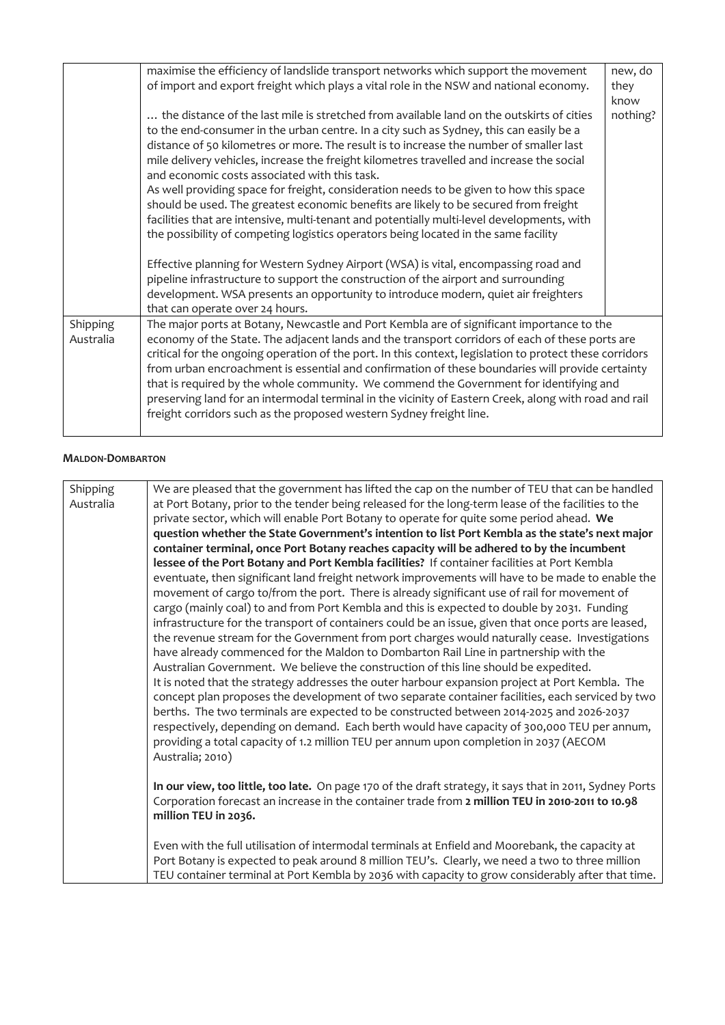|                       | maximise the efficiency of landslide transport networks which support the movement<br>of import and export freight which plays a vital role in the NSW and national economy.                                                                                                                                                                                                                                                                                                                                                                                                                                                                                                                                                                                                                         | new, do<br>they<br>know |
|-----------------------|------------------------------------------------------------------------------------------------------------------------------------------------------------------------------------------------------------------------------------------------------------------------------------------------------------------------------------------------------------------------------------------------------------------------------------------------------------------------------------------------------------------------------------------------------------------------------------------------------------------------------------------------------------------------------------------------------------------------------------------------------------------------------------------------------|-------------------------|
|                       | the distance of the last mile is stretched from available land on the outskirts of cities<br>to the end-consumer in the urban centre. In a city such as Sydney, this can easily be a<br>distance of 50 kilometres or more. The result is to increase the number of smaller last<br>mile delivery vehicles, increase the freight kilometres travelled and increase the social<br>and economic costs associated with this task.<br>As well providing space for freight, consideration needs to be given to how this space<br>should be used. The greatest economic benefits are likely to be secured from freight<br>facilities that are intensive, multi-tenant and potentially multi-level developments, with<br>the possibility of competing logistics operators being located in the same facility | nothing?                |
|                       | Effective planning for Western Sydney Airport (WSA) is vital, encompassing road and<br>pipeline infrastructure to support the construction of the airport and surrounding<br>development. WSA presents an opportunity to introduce modern, quiet air freighters<br>that can operate over 24 hours.                                                                                                                                                                                                                                                                                                                                                                                                                                                                                                   |                         |
| Shipping<br>Australia | The major ports at Botany, Newcastle and Port Kembla are of significant importance to the<br>economy of the State. The adjacent lands and the transport corridors of each of these ports are<br>critical for the ongoing operation of the port. In this context, legislation to protect these corridors<br>from urban encroachment is essential and confirmation of these boundaries will provide certainty<br>that is required by the whole community. We commend the Government for identifying and<br>preserving land for an intermodal terminal in the vicinity of Eastern Creek, along with road and rail<br>freight corridors such as the proposed western Sydney freight line.                                                                                                                |                         |

## **MALDON-DOMBARTON**

| Shipping  | We are pleased that the government has lifted the cap on the number of TEU that can be handled           |
|-----------|----------------------------------------------------------------------------------------------------------|
| Australia | at Port Botany, prior to the tender being released for the long-term lease of the facilities to the      |
|           | private sector, which will enable Port Botany to operate for quite some period ahead. We                 |
|           | question whether the State Government's intention to list Port Kembla as the state's next major          |
|           | container terminal, once Port Botany reaches capacity will be adhered to by the incumbent                |
|           | lessee of the Port Botany and Port Kembla facilities? If container facilities at Port Kembla             |
|           | eventuate, then significant land freight network improvements will have to be made to enable the         |
|           | movement of cargo to/from the port. There is already significant use of rail for movement of             |
|           | cargo (mainly coal) to and from Port Kembla and this is expected to double by 2031. Funding              |
|           | infrastructure for the transport of containers could be an issue, given that once ports are leased,      |
|           | the revenue stream for the Government from port charges would naturally cease. Investigations            |
|           | have already commenced for the Maldon to Dombarton Rail Line in partnership with the                     |
|           | Australian Government. We believe the construction of this line should be expedited.                     |
|           | It is noted that the strategy addresses the outer harbour expansion project at Port Kembla. The          |
|           | concept plan proposes the development of two separate container facilities, each serviced by two         |
|           | berths. The two terminals are expected to be constructed between 2014-2025 and 2026-2037                 |
|           | respectively, depending on demand. Each berth would have capacity of 300,000 TEU per annum,              |
|           | providing a total capacity of 1.2 million TEU per annum upon completion in 2037 (AECOM                   |
|           | Australia; 2010)                                                                                         |
|           |                                                                                                          |
|           | In our view, too little, too late. On page 170 of the draft strategy, it says that in 2011, Sydney Ports |
|           | Corporation forecast an increase in the container trade from 2 million TEU in 2010-2011 to 10.98         |
|           | million TEU in 2036.                                                                                     |
|           |                                                                                                          |
|           | Even with the full utilisation of intermodal terminals at Enfield and Moorebank, the capacity at         |
|           | Port Botany is expected to peak around 8 million TEU's. Clearly, we need a two to three million          |
|           | TEU container terminal at Port Kembla by 2036 with capacity to grow considerably after that time.        |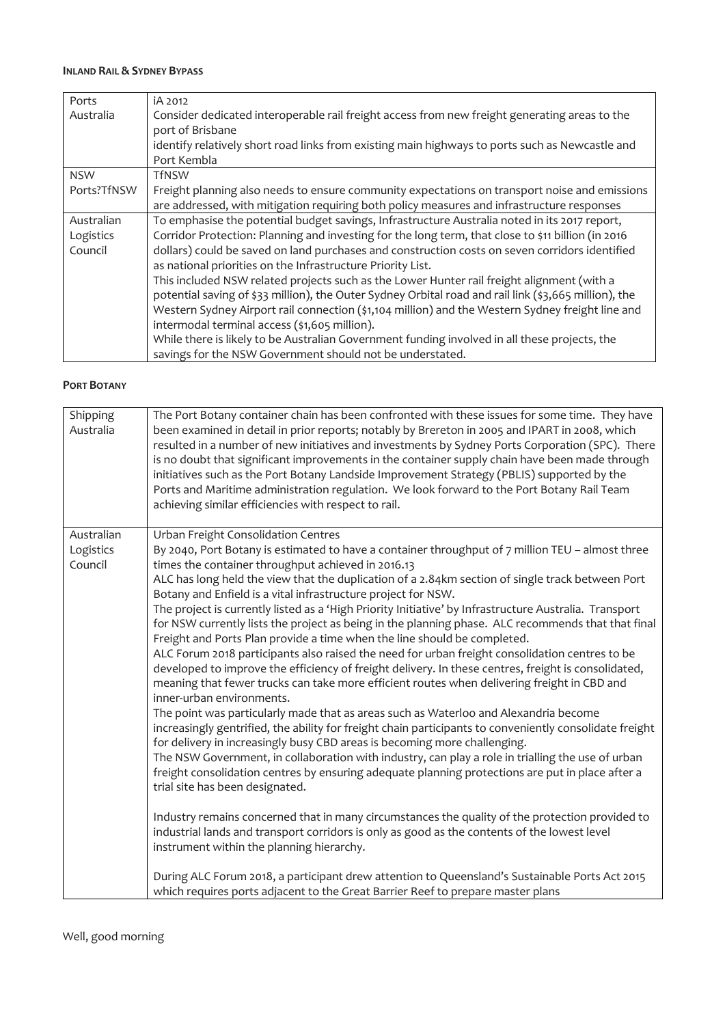#### **INLAND RAIL & SYDNEY BYPASS**

| Ports       | iA 2012                                                                                               |
|-------------|-------------------------------------------------------------------------------------------------------|
| Australia   | Consider dedicated interoperable rail freight access from new freight generating areas to the         |
|             | port of Brisbane                                                                                      |
|             | identify relatively short road links from existing main highways to ports such as Newcastle and       |
|             | Port Kembla                                                                                           |
| <b>NSW</b>  | <b>TfNSW</b>                                                                                          |
| Ports?TfNSW | Freight planning also needs to ensure community expectations on transport noise and emissions         |
|             | are addressed, with mitigation requiring both policy measures and infrastructure responses            |
| Australian  | To emphasise the potential budget savings, Infrastructure Australia noted in its 2017 report,         |
| Logistics   | Corridor Protection: Planning and investing for the long term, that close to \$11 billion (in 2016    |
| Council     | dollars) could be saved on land purchases and construction costs on seven corridors identified        |
|             | as national priorities on the Infrastructure Priority List.                                           |
|             | This included NSW related projects such as the Lower Hunter rail freight alignment (with a            |
|             | potential saving of \$33 million), the Outer Sydney Orbital road and rail link (\$3,665 million), the |
|             | Western Sydney Airport rail connection (\$1,104 million) and the Western Sydney freight line and      |
|             | intermodal terminal access (\$1,605 million).                                                         |
|             | While there is likely to be Australian Government funding involved in all these projects, the         |
|             | savings for the NSW Government should not be understated.                                             |

## **PORT BOTANY**

| Shipping<br>Australia              | The Port Botany container chain has been confronted with these issues for some time. They have<br>been examined in detail in prior reports; notably by Brereton in 2005 and IPART in 2008, which<br>resulted in a number of new initiatives and investments by Sydney Ports Corporation (SPC). There<br>is no doubt that significant improvements in the container supply chain have been made through<br>initiatives such as the Port Botany Landside Improvement Strategy (PBLIS) supported by the<br>Ports and Maritime administration regulation. We look forward to the Port Botany Rail Team<br>achieving similar efficiencies with respect to rail.                                                                                                                                                                                                                                                                                                                                                                                                                                                                                                                                                                                                                                                                                                                                                                                                                                                                                                                                                                                                                                                                                                                                                                                                                                                                                                           |
|------------------------------------|----------------------------------------------------------------------------------------------------------------------------------------------------------------------------------------------------------------------------------------------------------------------------------------------------------------------------------------------------------------------------------------------------------------------------------------------------------------------------------------------------------------------------------------------------------------------------------------------------------------------------------------------------------------------------------------------------------------------------------------------------------------------------------------------------------------------------------------------------------------------------------------------------------------------------------------------------------------------------------------------------------------------------------------------------------------------------------------------------------------------------------------------------------------------------------------------------------------------------------------------------------------------------------------------------------------------------------------------------------------------------------------------------------------------------------------------------------------------------------------------------------------------------------------------------------------------------------------------------------------------------------------------------------------------------------------------------------------------------------------------------------------------------------------------------------------------------------------------------------------------------------------------------------------------------------------------------------------------|
| Australian<br>Logistics<br>Council | Urban Freight Consolidation Centres<br>By 2040, Port Botany is estimated to have a container throughput of 7 million TEU - almost three<br>times the container throughput achieved in 2016.13<br>ALC has long held the view that the duplication of a 2.84km section of single track between Port<br>Botany and Enfield is a vital infrastructure project for NSW.<br>The project is currently listed as a 'High Priority Initiative' by Infrastructure Australia. Transport<br>for NSW currently lists the project as being in the planning phase. ALC recommends that that final<br>Freight and Ports Plan provide a time when the line should be completed.<br>ALC Forum 2018 participants also raised the need for urban freight consolidation centres to be<br>developed to improve the efficiency of freight delivery. In these centres, freight is consolidated,<br>meaning that fewer trucks can take more efficient routes when delivering freight in CBD and<br>inner-urban environments.<br>The point was particularly made that as areas such as Waterloo and Alexandria become<br>increasingly gentrified, the ability for freight chain participants to conveniently consolidate freight<br>for delivery in increasingly busy CBD areas is becoming more challenging.<br>The NSW Government, in collaboration with industry, can play a role in trialling the use of urban<br>freight consolidation centres by ensuring adequate planning protections are put in place after a<br>trial site has been designated.<br>Industry remains concerned that in many circumstances the quality of the protection provided to<br>industrial lands and transport corridors is only as good as the contents of the lowest level<br>instrument within the planning hierarchy.<br>During ALC Forum 2018, a participant drew attention to Queensland's Sustainable Ports Act 2015<br>which requires ports adjacent to the Great Barrier Reef to prepare master plans |